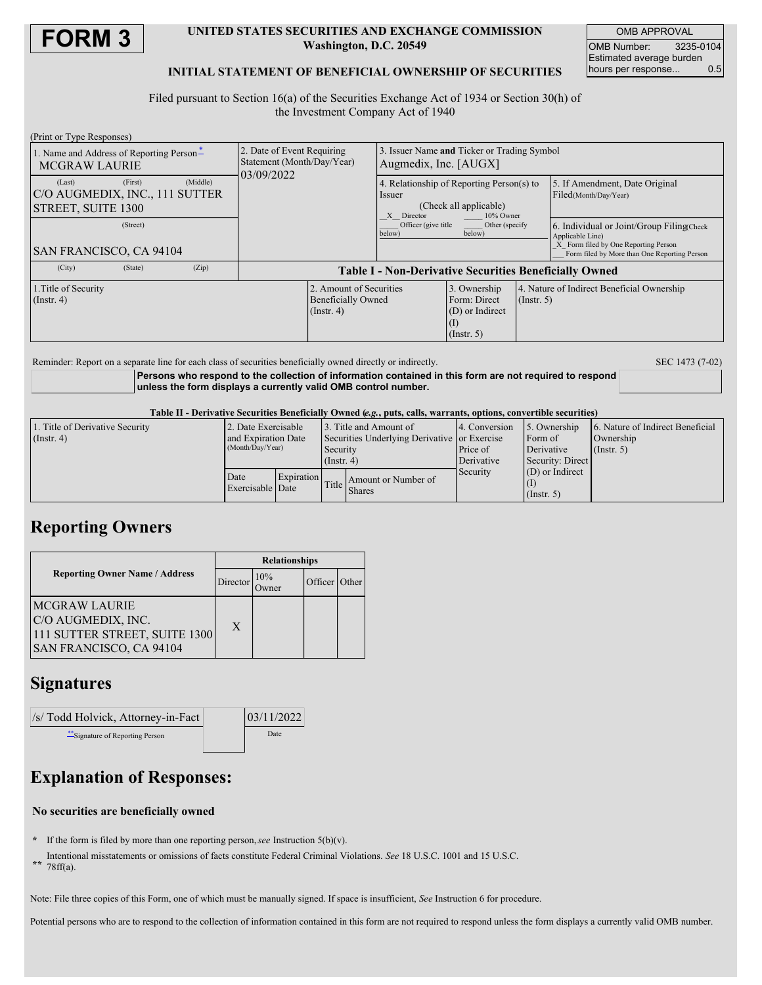

#### **UNITED STATES SECURITIES AND EXCHANGE COMMISSION Washington, D.C. 20549**

OMB APPROVAL OMB Number: 3235-0104 Estimated average burden hours per response... 0.5

### **INITIAL STATEMENT OF BENEFICIAL OWNERSHIP OF SECURITIES**

Filed pursuant to Section 16(a) of the Securities Exchange Act of 1934 or Section 30(h) of the Investment Company Act of 1940

| (Print or Type Responses)                                        |         |          |                                                                        |                                                                          |                                                                                                          |                                                                     |                  |                                                                                                                                                        |  |
|------------------------------------------------------------------|---------|----------|------------------------------------------------------------------------|--------------------------------------------------------------------------|----------------------------------------------------------------------------------------------------------|---------------------------------------------------------------------|------------------|--------------------------------------------------------------------------------------------------------------------------------------------------------|--|
| 1. Name and Address of Reporting Person-<br><b>MCGRAW LAURIE</b> |         |          | 2. Date of Event Requiring<br>Statement (Month/Day/Year)<br>03/09/2022 |                                                                          | Issuer Name and Ticker or Trading Symbol<br>Augmedix, Inc. [AUGX]                                        |                                                                     |                  |                                                                                                                                                        |  |
| (Last)<br>C/O AUGMEDIX, INC., 111 SUTTER<br>STREET, SUITE 1300   | (First) | (Middle) |                                                                        |                                                                          | 4. Relationship of Reporting Person(s) to<br>Issuer<br>(Check all applicable)<br>X Director<br>10% Owner |                                                                     |                  | 5. If Amendment, Date Original<br>Filed(Month/Day/Year)                                                                                                |  |
| (Street)<br><b>SAN FRANCISCO, CA 94104</b>                       |         |          |                                                                        |                                                                          | Officer (give title)<br>Other (specify)<br>below)<br>below)                                              |                                                                     |                  | 6. Individual or Joint/Group Filing(Check)<br>Applicable Line)<br>X Form filed by One Reporting Person<br>Form filed by More than One Reporting Person |  |
| (City)                                                           | (State) | (Zip)    | <b>Table I - Non-Derivative Securities Beneficially Owned</b>          |                                                                          |                                                                                                          |                                                                     |                  |                                                                                                                                                        |  |
| 1. Title of Security<br>$($ Instr. 4 $)$                         |         |          |                                                                        | 2. Amount of Securities<br><b>Beneficially Owned</b><br>$($ Instr. 4 $)$ |                                                                                                          | 3. Ownership<br>Form: Direct<br>(D) or Indirect<br>$($ Instr. 5 $)$ | $($ Instr. 5 $)$ | 4. Nature of Indirect Beneficial Ownership                                                                                                             |  |

Reminder: Report on a separate line for each class of securities beneficially owned directly or indirectly. SEC 1473 (7-02)

**Persons who respond to the collection of information contained in this form are not required to respond unless the form displays a currently valid OMB control number.**

Table II - Derivative Securities Beneficially Owned (e.g., puts, calls, warrants, options, convertible securities)

| 1. Title of Derivative Security<br>(Insert 4) | 2. Date Exercisable<br>and Expiration Date |                   | 3. Title and Amount of<br>Securities Underlying Derivative or Exercise |                                     | 4. Conversion                                            | 5. Ownership<br>Form of          | 6. Nature of Indirect Beneficial<br>Ownership |  |
|-----------------------------------------------|--------------------------------------------|-------------------|------------------------------------------------------------------------|-------------------------------------|----------------------------------------------------------|----------------------------------|-----------------------------------------------|--|
|                                               | (Month/Day/Year)                           |                   | Security<br>$($ Instr. 4 $)$                                           |                                     | Derivative<br>Price of<br>Derivative<br>Security: Direct |                                  | $($ Instr. 5 $)$                              |  |
|                                               | Date<br>Exercisable Date                   | <b>Expiration</b> |                                                                        | Amount or Number of<br>Title Shares | Security                                                 | $(D)$ or Indirect<br>(Insert, 5) |                                               |  |

## **Reporting Owners**

|                                                                                                               | <b>Relationships</b> |     |               |  |  |
|---------------------------------------------------------------------------------------------------------------|----------------------|-----|---------------|--|--|
| <b>Reporting Owner Name / Address</b>                                                                         | Director             | 10% | Officer Other |  |  |
| <b>MCGRAW LAURIE</b><br>C/O AUGMEDIX, INC.<br>111 SUTTER STREET, SUITE 1300<br><b>SAN FRANCISCO, CA 94104</b> | X                    |     |               |  |  |

### **Signatures**

| //s/ Todd Holvick, Attorney-in-Fact | 03/11/2022 |  |  |
|-------------------------------------|------------|--|--|
| ** Signature of Reporting Person    | Date       |  |  |
|                                     |            |  |  |

# **Explanation of Responses:**

### **No securities are beneficially owned**

- **\*** If the form is filed by more than one reporting person,*see* Instruction 5(b)(v).
- **\*\*** Intentional misstatements or omissions of facts constitute Federal Criminal Violations. *See* 18 U.S.C. 1001 and 15 U.S.C. 78ff(a).
- Note: File three copies of this Form, one of which must be manually signed. If space is insufficient, *See* Instruction 6 for procedure.

Potential persons who are to respond to the collection of information contained in this form are not required to respond unless the form displays a currently valid OMB number.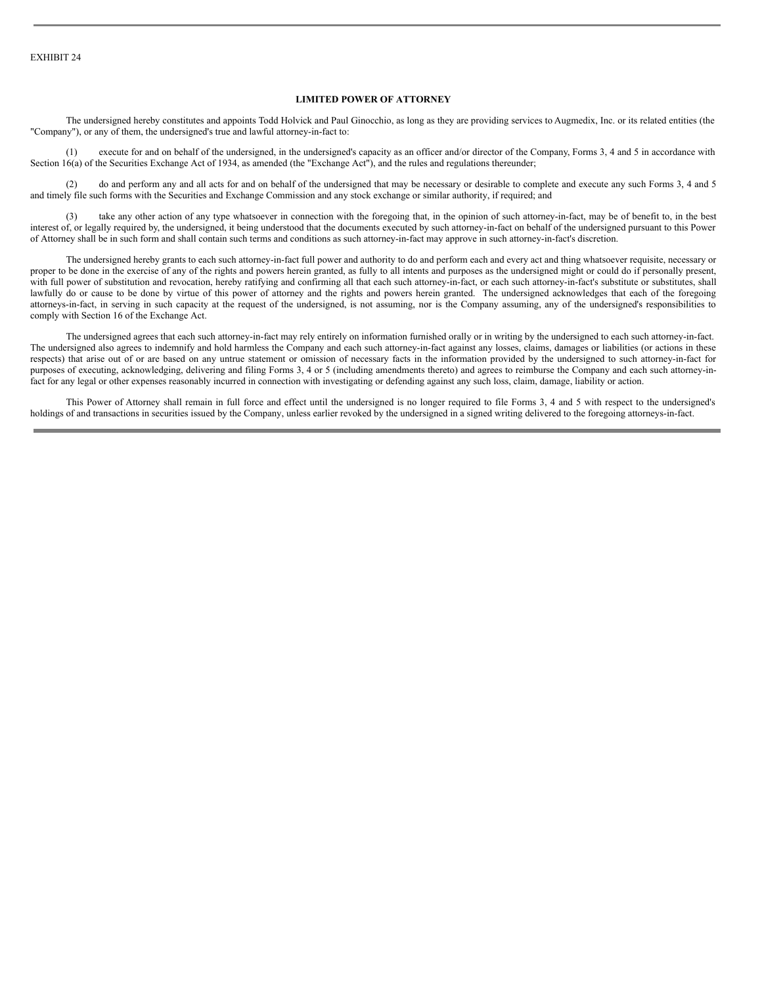#### **LIMITED POWER OF ATTORNEY**

The undersigned hereby constitutes and appoints Todd Holvick and Paul Ginocchio, as long as they are providing services to Augmedix, Inc. or its related entities (the "Company"), or any of them, the undersigned's true and lawful attorney-in-fact to:

(1) execute for and on behalf of the undersigned, in the undersigned's capacity as an officer and/or director of the Company, Forms 3, 4 and 5 in accordance with Section 16(a) of the Securities Exchange Act of 1934, as amended (the "Exchange Act"), and the rules and regulations thereunder;

(2) do and perform any and all acts for and on behalf of the undersigned that may be necessary or desirable to complete and execute any such Forms 3, 4 and 5 and timely file such forms with the Securities and Exchange Commission and any stock exchange or similar authority, if required; and

(3) take any other action of any type whatsoever in connection with the foregoing that, in the opinion of such attorney-in-fact, may be of benefit to, in the best interest of, or legally required by, the undersigned, it being understood that the documents executed by such attorney-in-fact on behalf of the undersigned pursuant to this Power of Attorney shall be in such form and shall contain such terms and conditions as such attorney-in-fact may approve in such attorney-in-fact's discretion.

The undersigned hereby grants to each such attorney-in-fact full power and authority to do and perform each and every act and thing whatsoever requisite, necessary or proper to be done in the exercise of any of the rights and powers herein granted, as fully to all intents and purposes as the undersigned might or could do if personally present, with full power of substitution and revocation, hereby ratifying and confirming all that each such attorney-in-fact, or each such attorney-in-fact's substitute or substitutes, shall lawfully do or cause to be done by virtue of this power of attorney and the rights and powers herein granted. The undersigned acknowledges that each of the foregoing attorneys-in-fact, in serving in such capacity at the request of the undersigned, is not assuming, nor is the Company assuming, any of the undersigned's responsibilities to comply with Section 16 of the Exchange Act.

The undersigned agrees that each such attorney-in-fact may rely entirely on information furnished orally or in writing by the undersigned to each such attorney-in-fact. The undersigned also agrees to indemnify and hold harmless the Company and each such attorney-in-fact against any losses, claims, damages or liabilities (or actions in these respects) that arise out of or are based on any untrue statement or omission of necessary facts in the information provided by the undersigned to such attorney-in-fact for purposes of executing, acknowledging, delivering and filing Forms 3, 4 or 5 (including amendments thereto) and agrees to reimburse the Company and each such attorney-infact for any legal or other expenses reasonably incurred in connection with investigating or defending against any such loss, claim, damage, liability or action.

This Power of Attorney shall remain in full force and effect until the undersigned is no longer required to file Forms 3, 4 and 5 with respect to the undersigned's holdings of and transactions in securities issued by the Company, unless earlier revoked by the undersigned in a signed writing delivered to the foregoing attorneys-in-fact.